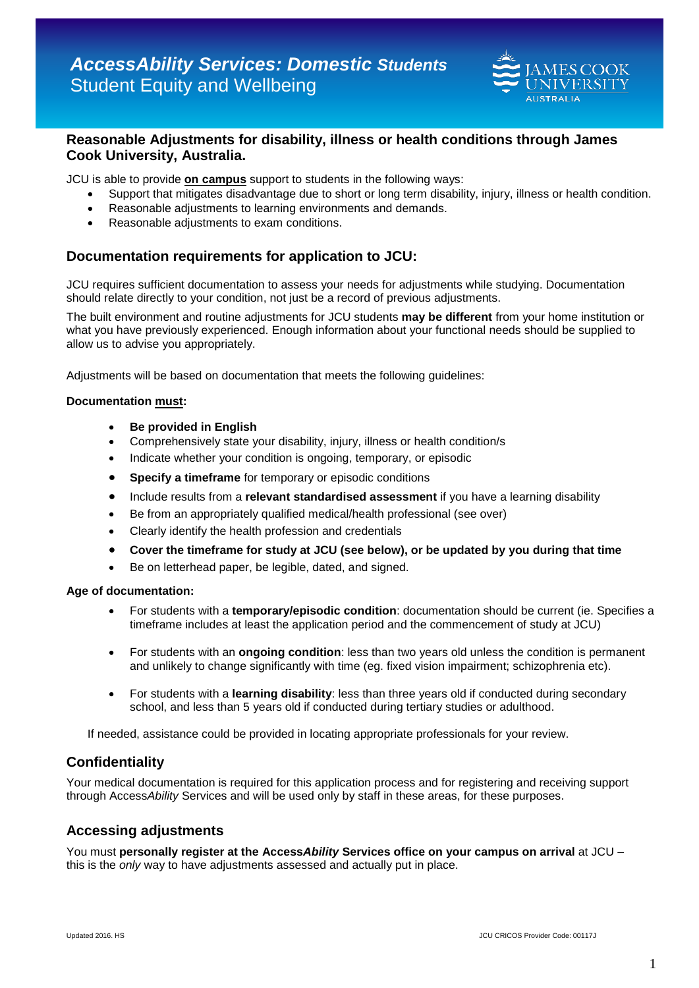

# **Reasonable Adjustments for disability, illness or health conditions through James Cook University, Australia.**

JCU is able to provide **on campus** support to students in the following ways:

- Support that mitigates disadvantage due to short or long term disability, injury, illness or health condition.
- Reasonable adjustments to learning environments and demands.
- Reasonable adjustments to exam conditions.

# **Documentation requirements for application to JCU:**

JCU requires sufficient documentation to assess your needs for adjustments while studying. Documentation should relate directly to your condition, not just be a record of previous adjustments.

The built environment and routine adjustments for JCU students **may be different** from your home institution or what you have previously experienced. Enough information about your functional needs should be supplied to allow us to advise you appropriately.

Adjustments will be based on documentation that meets the following guidelines:

## **Documentation must:**

- **Be provided in English**
- Comprehensively state your disability, injury, illness or health condition/s
- Indicate whether your condition is ongoing, temporary, or episodic
- **Specify a timeframe** for temporary or episodic conditions
- Include results from a **relevant standardised assessment** if you have a learning disability
- Be from an appropriately qualified medical/health professional (see over)
- Clearly identify the health profession and credentials
- **Cover the timeframe for study at JCU (see below), or be updated by you during that time**
- Be on letterhead paper, be legible, dated, and signed.

#### **Age of documentation:**

- For students with a **temporary/episodic condition**: documentation should be current (ie. Specifies a timeframe includes at least the application period and the commencement of study at JCU)
- For students with an **ongoing condition**: less than two years old unless the condition is permanent and unlikely to change significantly with time (eg. fixed vision impairment; schizophrenia etc).
- For students with a **learning disability**: less than three years old if conducted during secondary school, and less than 5 years old if conducted during tertiary studies or adulthood.

If needed, assistance could be provided in locating appropriate professionals for your review.

## **Confidentiality**

Your medical documentation is required for this application process and for registering and receiving support through Access*Ability* Services and will be used only by staff in these areas, for these purposes.

# **Accessing adjustments**

You must **personally register at the Access***Ability* **Services office on your campus on arrival** at JCU – this is the *only* way to have adjustments assessed and actually put in place.